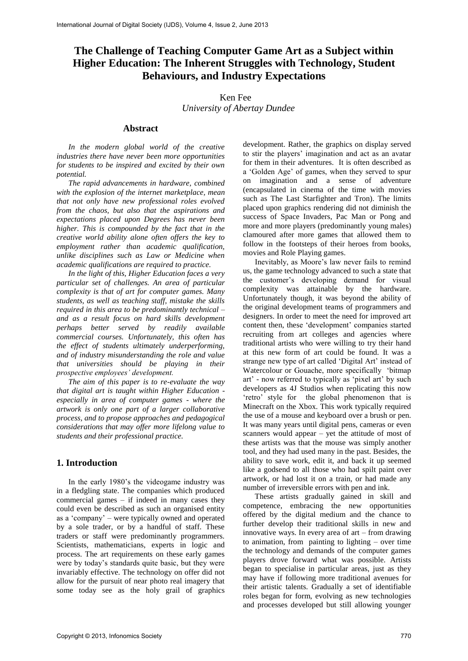# **The Challenge of Teaching Computer Game Art as a Subject within Higher Education: The Inherent Struggles with Technology, Student Behaviours, and Industry Expectations**

### Ken Fee  *University of Abertay Dundee*

### **Abstract**

 *In the modern global world of the creative industries there have never been more opportunities for students to be inspired and excited by their own potential.*

 *The rapid advancements in hardware, combined with the explosion of the internet marketplace, mean that not only have new professional roles evolved from the chaos, but also that the aspirations and expectations placed upon Degrees has never been higher. This is compounded by the fact that in the creative world ability alone often offers the key to employment rather than academic qualification, unlike disciplines such as Law or Medicine when academic qualifications are required to practice.*

 *In the light of this, Higher Education faces a very particular set of challenges. An area of particular complexity is that of art for computer games. Many students, as well as teaching staff, mistake the skills required in this area to be predominantly technical – and as a result focus on hard skills development perhaps better served by readily available commercial courses. Unfortunately, this often has the effect of students ultimately underperforming, and of industry misunderstanding the role and value that universities should be playing in their prospective employees' development.*

 *The aim of this paper is to re-evaluate the way that digital art is taught within Higher Education especially in area of computer games - where the artwork is only one part of a larger collaborative process, and to propose approaches and pedagogical considerations that may offer more lifelong value to students and their professional practice.*

### **1. Introduction**

 In the early 1980's the videogame industry was in a fledgling state. The companies which produced commercial games – if indeed in many cases they could even be described as such an organised entity as a 'company' – were typically owned and operated by a sole trader, or by a handful of staff. These traders or staff were predominantly programmers. Scientists, mathematicians, experts in logic and process. The art requirements on these early games were by today's standards quite basic, but they were invariably effective. The technology on offer did not allow for the pursuit of near photo real imagery that some today see as the holy grail of graphics

development. Rather, the graphics on display served to stir the players' imagination and act as an avatar for them in their adventures. It is often described as a 'Golden Age' of games, when they served to spur on imagination and a sense of adventure (encapsulated in cinema of the time with movies such as The Last Starfighter and Tron). The limits placed upon graphics rendering did not diminish the success of Space Invaders, Pac Man or Pong and more and more players (predominantly young males) clamoured after more games that allowed them to follow in the footsteps of their heroes from books, movies and Role Playing games.

 Inevitably, as Moore's law never fails to remind us, the game technology advanced to such a state that the customer's developing demand for visual complexity was attainable by the hardware. Unfortunately though, it was beyond the ability of the original development teams of programmers and designers. In order to meet the need for improved art content then, these 'development' companies started recruiting from art colleges and agencies where traditional artists who were willing to try their hand at this new form of art could be found. It was a strange new type of art called 'Digital Art' instead of Watercolour or Gouache, more specifically 'bitmap art' - now referred to typically as 'pixel art' by such developers as 4J Studios when replicating this now 'retro' style for the global phenomenon that is Minecraft on the Xbox. This work typically required the use of a mouse and keyboard over a brush or pen. It was many years until digital pens, cameras or even scanners would appear – yet the attitude of most of these artists was that the mouse was simply another tool, and they had used many in the past. Besides, the ability to save work, edit it, and back it up seemed like a godsend to all those who had spilt paint over artwork, or had lost it on a train, or had made any number of irreversible errors with pen and ink.

 These artists gradually gained in skill and competence, embracing the new opportunities offered by the digital medium and the chance to further develop their traditional skills in new and innovative ways. In every area of art – from drawing to animation, from painting to lighting – over time the technology and demands of the computer games players drove forward what was possible. Artists began to specialise in particular areas, just as they may have if following more traditional avenues for their artistic talents. Gradually a set of identifiable roles began for form, evolving as new technologies and processes developed but still allowing younger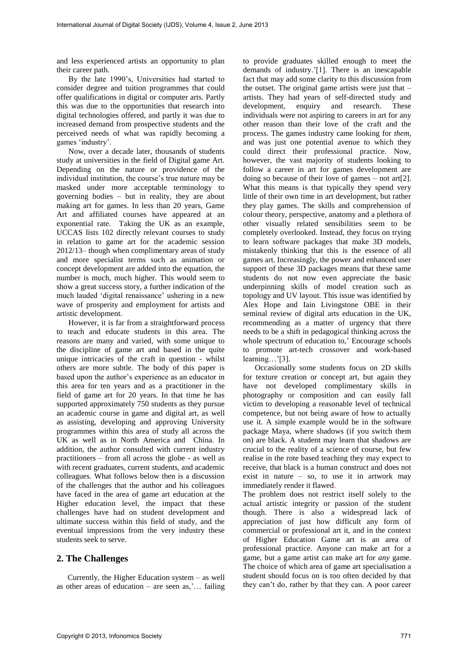and less experienced artists an opportunity to plan their career path.

 By the late 1990's, Universities had started to consider degree and tuition programmes that could offer qualifications in digital or computer arts. Partly this was due to the opportunities that research into digital technologies offered, and partly it was due to increased demand from prospective students and the perceived needs of what was rapidly becoming a games 'industry'.

 Now, over a decade later, thousands of students study at universities in the field of Digital game Art. Depending on the nature or providence of the individual institution, the course's true nature may be masked under more acceptable terminology to governing bodies – but in reality, they are about making art for games. In less than 20 years, Game Art and affiliated courses have appeared at an exponential rate. Taking the UK as an example, UCCAS lists 102 directly relevant courses to study in relation to game art for the academic session 2012/13– though when complimentary areas of study and more specialist terms such as animation or concept development are added into the equation, the number is much, much higher. This would seem to show a great success story, a further indication of the much lauded 'digital renaissance' ushering in a new wave of prosperity and employment for artists and artistic development.

 However, it is far from a straightforward process to teach and educate students in this area. The reasons are many and varied, with some unique to the discipline of game art and based in the quite unique intricacies of the craft in question - whilst others are more subtle. The body of this paper is based upon the author's experience as an educator in this area for ten years and as a practitioner in the field of game art for 20 years. In that time he has supported approximately 750 students as they pursue an academic course in game and digital art, as well as assisting, developing and approving University programmes within this area of study all across the UK as well as in North America and China. In addition, the author consulted with current industry practitioners – from all across the globe - as well as with recent graduates, current students, and academic colleagues. What follows below then is a discussion of the challenges that the author and his colleagues have faced in the area of game art education at the Higher education level, the impact that these challenges have had on student development and ultimate success within this field of study, and the eventual impressions from the very industry these students seek to serve.

### **2. The Challenges**

Currently, the Higher Education system – as well as other areas of education – are seen as,'... failing

to provide graduates skilled enough to meet the demands of industry.'[1]. There is an inescapable fact that may add some clarity to this discussion from the outset. The original game artists were just that – artists. They had years of self-directed study and development, enquiry and research. These individuals were not aspiring to careers in art for any other reason than their love of the craft and the process. The games industry came looking for *them,*  and was just one potential avenue to which they could direct their professional practice. Now, however, the vast majority of students looking to follow a career in art for games development are doing so because of their love of games – not art[2]. What this means is that typically they spend very little of their own time in art development, but rather they play games. The skills and comprehension of colour theory, perspective, anatomy and a plethora of other visually related sensibilities seem to be completely overlooked. Instead, they focus on trying to learn software packages that make 3D models, mistakenly thinking that this is the essence of all games art. Increasingly, the power and enhanced user support of these 3D packages means that these same students do not now even appreciate the basic underpinning skills of model creation such as topology and UV layout. This issue was identified by Alex Hope and Iain Livingstone OBE in their seminal review of digital arts education in the UK, recommending as a matter of urgency that there needs to be a shift in pedagogical thinking across the whole spectrum of education to,' Encourage schools to promote art-tech crossover and work-based learning…'[3].

 Occasionally some students focus on 2D skills for texture creation or concept art, but again they have not developed complimentary skills in photography or composition and can easily fall victim to developing a reasonable level of technical competence, but not being aware of how to actually use it. A simple example would be in the software package Maya, where shadows (if you switch them on) are black. A student may learn that shadows are crucial to the reality of a science of course, but few realise in the rote based teaching they may expect to receive, that black is a human construct and does not exist in nature – so, to use it in artwork may immediately render it flawed.

The problem does not restrict itself solely to the actual artistic integrity or passion of the student though. There is also a widespread lack of appreciation of just how difficult any form of commercial or professional art it, and in the context of Higher Education Game art is an area of professional practice. Anyone can make art for a game, but a game artist can make art for *any* game. The choice of which area of game art specialisation a student should focus on is too often decided by that they can't do, rather by that they can. A poor career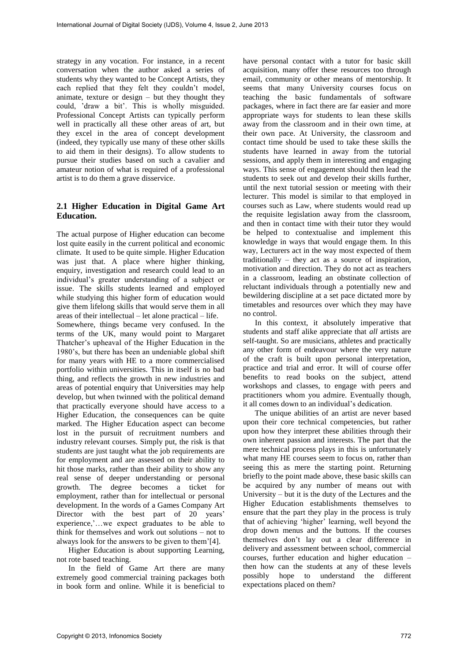strategy in any vocation. For instance, in a recent conversation when the author asked a series of students why they wanted to be Concept Artists, they each replied that they felt they couldn't model, animate, texture or design – but they thought they could, 'draw a bit'. This is wholly misguided. Professional Concept Artists can typically perform well in practically all these other areas of art, but they excel in the area of concept development (indeed, they typically use many of these other skills to aid them in their designs). To allow students to pursue their studies based on such a cavalier and amateur notion of what is required of a professional artist is to do them a grave disservice.

### **2.1 Higher Education in Digital Game Art Education.**

The actual purpose of Higher education can become lost quite easily in the current political and economic climate. It used to be quite simple. Higher Education was just that. A place where higher thinking, enquiry, investigation and research could lead to an individual's greater understanding of a subject or issue. The skills students learned and employed while studying this higher form of education would give them lifelong skills that would serve them in all areas of their intellectual – let alone practical – life. Somewhere, things became very confused. In the terms of the UK, many would point to Margaret Thatcher's upheaval of the Higher Education in the 1980's, but there has been an undeniable global shift for many years with HE to a more commercialised portfolio within universities. This in itself is no bad thing, and reflects the growth in new industries and areas of potential enquiry that Universities may help develop, but when twinned with the political demand that practically everyone should have access to a Higher Education, the consequences can be quite marked. The Higher Education aspect can become lost in the pursuit of recruitment numbers and industry relevant courses. Simply put, the risk is that students are just taught what the job requirements are for employment and are assessed on their ability to hit those marks, rather than their ability to show any real sense of deeper understanding or personal growth. The degree becomes a ticket for employment, rather than for intellectual or personal development. In the words of a Games Company Art Director with the best part of 20 years' experience,'…we expect graduates to be able to think for themselves and work out solutions – not to always look for the answers to be given to them'[4].

 Higher Education is about supporting Learning, not rote based teaching.

 In the field of Game Art there are many extremely good commercial training packages both in book form and online. While it is beneficial to

have personal contact with a tutor for basic skill acquisition, many offer these resources too through email, community or other means of mentorship. It seems that many University courses focus on teaching the basic fundamentals of software packages, where in fact there are far easier and more appropriate ways for students to lean these skills away from the classroom and in their own time, at their own pace. At University, the classroom and contact time should be used to take these skills the students have learned in away from the tutorial sessions, and apply them in interesting and engaging ways. This sense of engagement should then lead the students to seek out and develop their skills further, until the next tutorial session or meeting with their lecturer. This model is similar to that employed in courses such as Law, where students would read up the requisite legislation away from the classroom, and then in contact time with their tutor they would be helped to contextualise and implement this knowledge in ways that would engage them. In this way, Lecturers act in the way most expected of them traditionally – they act as a source of inspiration, motivation and direction. They do not act as teachers in a classroom, leading an obstinate collection of reluctant individuals through a potentially new and bewildering discipline at a set pace dictated more by timetables and resources over which they may have no control.

 In this context, it absolutely imperative that students and staff alike appreciate that *all* artists are self-taught. So are musicians, athletes and practically any other form of endeavour where the very nature of the craft is built upon personal interpretation, practice and trial and error. It will of course offer benefits to read books on the subject, attend workshops and classes, to engage with peers and practitioners whom you admire. Eventually though, it all comes down to an individual's dedication.

 The unique abilities of an artist are never based upon their core technical competencies, but rather upon how they interpret these abilities through their own inherent passion and interests. The part that the mere technical process plays in this is unfortunately what many HE courses seem to focus on, rather than seeing this as mere the starting point. Returning briefly to the point made above, these basic skills can be acquired by any number of means out with University – but it is the duty of the Lectures and the Higher Education establishments themselves to ensure that the part they play in the process is truly that of achieving 'higher' learning, well beyond the drop down menus and the buttons. If the courses themselves don't lay out a clear difference in delivery and assessment between school, commercial courses, further education and higher education – then how can the students at any of these levels possibly hope to understand the different expectations placed on them?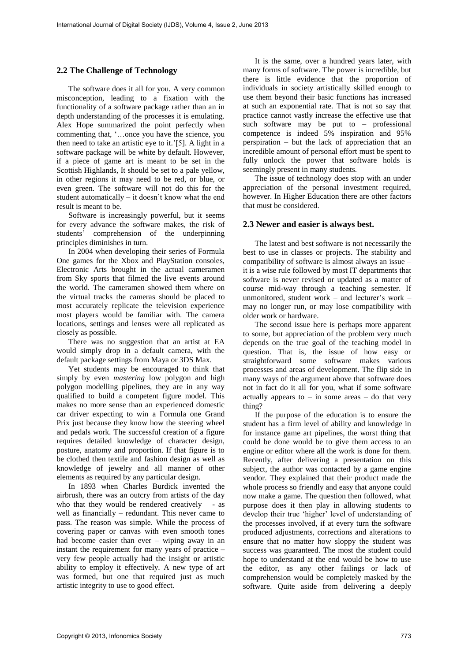### **2.2 The Challenge of Technology**

 The software does it all for you. A very common misconception, leading to a fixation with the functionality of a software package rather than an in depth understanding of the processes it is emulating. Alex Hope summarized the point perfectly when commenting that, '…once you have the science, you then need to take an artistic eye to it.'[5]. A light in a software package will be white by default. However, if a piece of game art is meant to be set in the Scottish Highlands, It should be set to a pale yellow, in other regions it may need to be red, or blue, or even green. The software will not do this for the student automatically – it doesn't know what the end result is meant to be.

 Software is increasingly powerful, but it seems for every advance the software makes, the risk of students' comprehension of the underpinning principles diminishes in turn.

 In 2004 when developing their series of Formula One games for the Xbox and PlayStation consoles, Electronic Arts brought in the actual cameramen from Sky sports that filmed the live events around the world. The cameramen showed them where on the virtual tracks the cameras should be placed to most accurately replicate the television experience most players would be familiar with. The camera locations, settings and lenses were all replicated as closely as possible.

 There was no suggestion that an artist at EA would simply drop in a default camera, with the default package settings from Maya or 3DS Max.

 Yet students may be encouraged to think that simply by even *mastering* low polygon and high polygon modelling pipelines, they are in any way qualified to build a competent figure model. This makes no more sense than an experienced domestic car driver expecting to win a Formula one Grand Prix just because they know how the steering wheel and pedals work. The successful creation of a figure requires detailed knowledge of character design, posture, anatomy and proportion. If that figure is to be clothed then textile and fashion design as well as knowledge of jewelry and all manner of other elements as required by any particular design.

 In 1893 when Charles Burdick invented the airbrush, there was an outcry from artists of the day who that they would be rendered creatively - as well as financially – redundant. This never came to pass. The reason was simple. While the process of covering paper or canvas with even smooth tones had become easier than ever – wiping away in an instant the requirement for many years of practice – very few people actually had the insight or artistic ability to employ it effectively. A new type of art was formed, but one that required just as much artistic integrity to use to good effect.

 It is the same, over a hundred years later, with many forms of software. The power is incredible, but there is little evidence that the proportion of individuals in society artistically skilled enough to use them beyond their basic functions has increased at such an exponential rate. That is not so say that practice cannot vastly increase the effective use that such software may be put to – professional competence is indeed 5% inspiration and 95% perspiration – but the lack of appreciation that an incredible amount of personal effort must be spent to fully unlock the power that software holds is seemingly present in many students.

 The issue of technology does stop with an under appreciation of the personal investment required, however. In Higher Education there are other factors that must be considered.

#### **2.3 Newer and easier is always best.**

 The latest and best software is not necessarily the best to use in classes or projects. The stability and compatibility of software is almost always an issue – it is a wise rule followed by most IT departments that software is never revised or updated as a matter of course mid-way through a teaching semester. If unmonitored, student work – and lecturer's work – may no longer run, or may lose compatibility with older work or hardware.

 The second issue here is perhaps more apparent to some, but appreciation of the problem very much depends on the true goal of the teaching model in question. That is, the issue of how easy or straightforward some software makes various processes and areas of development. The flip side in many ways of the argument above that software does not in fact do it all for you, what if some software actually appears to  $-$  in some areas  $-$  do that very thing?

 If the purpose of the education is to ensure the student has a firm level of ability and knowledge in for instance game art pipelines, the worst thing that could be done would be to give them access to an engine or editor where all the work is done for them. Recently, after delivering a presentation on this subject, the author was contacted by a game engine vendor. They explained that their product made the whole process so friendly and easy that anyone could now make a game. The question then followed, what purpose does it then play in allowing students to develop their true 'higher' level of understanding of the processes involved, if at every turn the software produced adjustments, corrections and alterations to ensure that no matter how sloppy the student was success was guaranteed. The most the student could hope to understand at the end would be how to use the editor, as any other failings or lack of comprehension would be completely masked by the software. Quite aside from delivering a deeply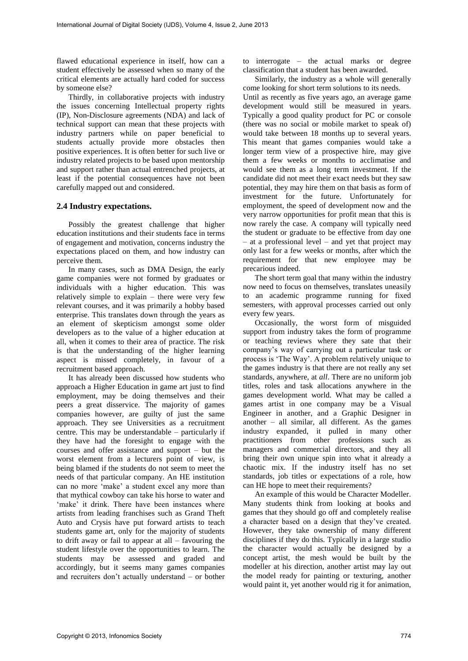flawed educational experience in itself, how can a student effectively be assessed when so many of the critical elements are actually hard coded for success by someone else?

 Thirdly, in collaborative projects with industry the issues concerning Intellectual property rights (IP), Non-Disclosure agreements (NDA) and lack of technical support can mean that these projects with industry partners while on paper beneficial to students actually provide more obstacles then positive experiences. It is often better for such live or industry related projects to be based upon mentorship and support rather than actual entrenched projects, at least if the potential consequences have not been carefully mapped out and considered.

### **2.4 Industry expectations.**

 Possibly the greatest challenge that higher education institutions and their students face in terms of engagement and motivation, concerns industry the expectations placed on them, and how industry can perceive them.

 In many cases, such as DMA Design, the early game companies were not formed by graduates or individuals with a higher education. This was relatively simple to explain – there were very few relevant courses, and it was primarily a hobby based enterprise. This translates down through the years as an element of skepticism amongst some older developers as to the value of a higher education at all, when it comes to their area of practice. The risk is that the understanding of the higher learning aspect is missed completely, in favour of a recruitment based approach.

 It has already been discussed how students who approach a Higher Education in game art just to find employment, may be doing themselves and their peers a great disservice. The majority of games companies however, are guilty of just the same approach. They see Universities as a recruitment centre. This may be understandable – particularly if they have had the foresight to engage with the courses and offer assistance and support – but the worst element from a lecturers point of view, is being blamed if the students do not seem to meet the needs of that particular company. An HE institution can no more 'make' a student excel any more than that mythical cowboy can take his horse to water and 'make' it drink. There have been instances where artists from leading franchises such as Grand Theft Auto and Crysis have put forward artists to teach students game art, only for the majority of students to drift away or fail to appear at all – favouring the student lifestyle over the opportunities to learn. The students may be assessed and graded and accordingly, but it seems many games companies and recruiters don't actually understand – or bother

to interrogate – the actual marks or degree classification that a student has been awarded.

 Similarly, the industry as a whole will generally come looking for short term solutions to its needs.

Until as recently as five years ago, an average game development would still be measured in years. Typically a good quality product for PC or console (there was no social or mobile market to speak of) would take between 18 months up to several years. This meant that games companies would take a longer term view of a prospective hire, may give them a few weeks or months to acclimatise and would see them as a long term investment. If the candidate did not meet their exact needs but they saw potential, they may hire them on that basis as form of investment for the future. Unfortunately for employment, the speed of development now and the very narrow opportunities for profit mean that this is now rarely the case. A company will typically need the student or graduate to be effective from day one – at a professional level – and yet that project may only last for a few weeks or months, after which the requirement for that new employee may be precarious indeed.

 The short term goal that many within the industry now need to focus on themselves, translates uneasily to an academic programme running for fixed semesters, with approval processes carried out only every few years.

 Occasionally, the worst form of misguided support from industry takes the form of programme or teaching reviews where they sate that their company's way of carrying out a particular task or process is 'The Way'. A problem relatively unique to the games industry is that there are not really any set standards, anywhere, at *all*. There are no uniform job titles, roles and task allocations anywhere in the games development world. What may be called a games artist in one company may be a Visual Engineer in another, and a Graphic Designer in another – all similar, all different. As the games industry expanded, it pulled in many other practitioners from other professions such as managers and commercial directors, and they all bring their own unique spin into what it already a chaotic mix. If the industry itself has no set standards, job titles or expectations of a role, how can HE hope to meet their requirements?

 An example of this would be Character Modeller. Many students think from looking at books and games that they should go off and completely realise a character based on a design that they've created. However, they take ownership of many different disciplines if they do this. Typically in a large studio the character would actually be designed by a concept artist, the mesh would be built by the modeller at his direction, another artist may lay out the model ready for painting or texturing, another would paint it, yet another would rig it for animation,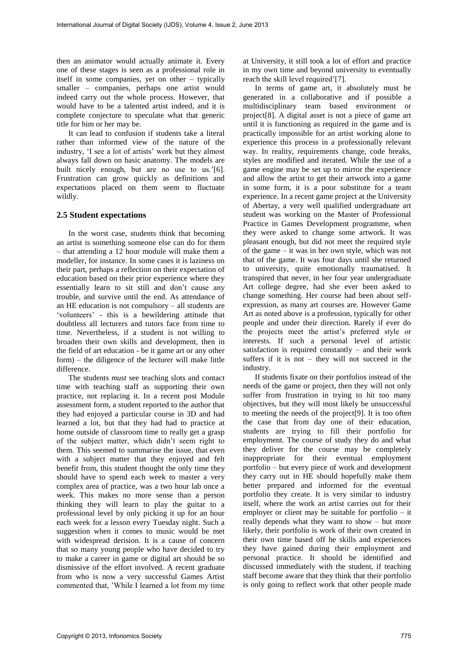then an animator would actually animate it. Every one of these stages is seen as a professional role in itself in some companies, yet on other – typically smaller – companies, perhaps one artist would indeed carry out the whole process. However, that would have to be a talented artist indeed, and it is complete conjecture to speculate what that generic title for him or her may be.

 It can lead to confusion if students take a literal rather than informed view of the nature of the industry, 'I see a lot of artists' work but they almost always fall down on basic anatomy. The models are built nicely enough, but are no use to us.'[6]. Frustration can grow quickly as definitions and expectations placed on them seem to fluctuate wildly.

#### **2.5 Student expectations**

 In the worst case, students think that becoming an artist is something someone else can do for them – that attending a 12 hour module will make them a modeller, for instance. In some cases it is laziness on their part, perhaps a reflection on their expectation of education based on their prior experience where they essentially learn to sit still and don't cause any trouble, and survive until the end. As attendance of an HE education is not compulsory – all students are 'volunteers' - this is a bewildering attitude that doubtless all lecturers and tutors face from time to time. Nevertheless, if a student is not willing to broaden their own skills and development, then in the field of art education - be it game art or any other form) – the diligence of the lecturer will make little difference.

 The students *must* see teaching slots and contact time with teaching staff as supporting their own practice, not replacing it. In a recent post Module assessment form, a student reported to the author that they had enjoyed a particular course in 3D and had learned a lot, but that they had had to practice at home outside of classroom time to really get a grasp of the subject matter, which didn't seem right to them. This seemed to summarise the issue, that even with a subject matter that they enjoyed and felt benefit from, this student thought the only time they should have to spend each week to master a very complex area of practice, was a two hour lab once a week. This makes no more sense than a person thinking they will learn to play the guitar to a professional level by only picking it up for an hour each week for a lesson every Tuesday night. Such a suggestion when it comes to music would be met with widespread derision. It is a cause of concern that so many young people who have decided to try to make a career in game or digital art should be so dismissive of the effort involved. A recent graduate from who is now a very successful Games Artist commented that, 'While I learned a lot from my time

at University, it still took a lot of effort and practice in my own time and beyond university to eventually reach the skill level required'[7].

 In terms of game art, it absolutely must be generated in a collaborative and if possible a multidisciplinary team based environment or project[8]. A digital asset is not a piece of game art until it is functioning as required in the game and is practically impossible for an artist working alone to experience this process in a professionally relevant way. In reality, requirements change, code breaks, styles are modified and iterated. While the use of a game engine may be set up to mirror the experience and allow the artist to get their artwork into a game in some form, it is a poor substitute for a team experience. In a recent game project at the University of Abertay, a very well qualified undergraduate art student was working on the Master of Professional Practice in Games Development programme, when they were asked to change some artwork. It was pleasant enough, but did not meet the required style of the game – it was in her own style, which was not that of the game. It was four days until she returned to university, quite emotionally traumatised. It transpired that never, in her four year undergraduate Art college degree, had she ever been asked to change something. Her course had been about selfexpression, as many art courses are. However Game Art as noted above is a profession, typically for other people and under their direction. Rarely if ever do the projects meet the artist's preferred style or interests. If such a personal level of artistic satisfaction is required constantly – and their work suffers if it is not  $-$  they will not succeed in the industry.

 If students fixate on their portfolios instead of the needs of the game or project, then they will not only suffer from frustration in trying to hit too many objectives, but they will most likely be unsuccessful to meeting the needs of the project[9]. It is too often the case that from day one of their education, students are trying to fill their portfolio for employment. The course of study they do and what they deliver for the course may be completely inappropriate for their eventual employment portfolio – but every piece of work and development they carry out in HE should hopefully make them better prepared and informed for the eventual portfolio they create. It is very similar to industry itself, where the work an artist carries out for their employer or client may be suitable for portfolio – it really depends what they want to show – but more likely, their portfolio is work of their own created in their own time based off he skills and experiences they have gained during their employment and personal practice. It should be identified and discussed immediately with the student, if teaching staff become aware that they think that their portfolio is only going to reflect work that other people made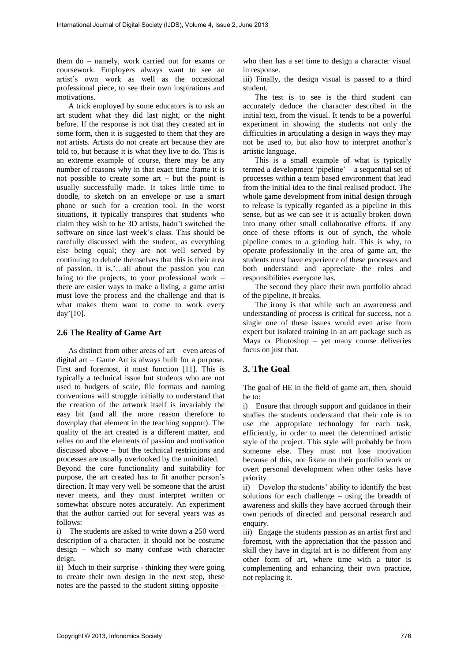them do – namely, work carried out for exams or coursework. Employers always want to see an artist's own work as well as the occasional professional piece, to see their own inspirations and motivations.

 A trick employed by some educators is to ask an art student what they did last night, or the night before. If the response is not that they created art in some form, then it is suggested to them that they are not artists. Artists do not create art because they are told to, but because it is what they live to do. This is an extreme example of course, there may be any number of reasons why in that exact time frame it is not possible to create some art – but the point is usually successfully made. It takes little time to doodle, to sketch on an envelope or use a smart phone or such for a creation tool. In the worst situations, it typically transpires that students who claim they wish to be 3D artists, hadn't switched the software on since last week's class. This should be carefully discussed with the student, as everything else being equal; they are not well served by continuing to delude themselves that this is their area of passion. It is,'…all about the passion you can bring to the projects, to your professional work – there are easier ways to make a living, a game artist must love the process and the challenge and that is what makes them want to come to work every day'[10].

### **2.6 The Reality of Game Art**

 As distinct from other areas of art – even areas of digital art – Game Art is always built for a purpose. First and foremost, it must function [11]. This is typically a technical issue but students who are not used to budgets of scale, file formats and naming conventions will struggle initially to understand that the creation of the artwork itself is invariably the easy bit (and all the more reason therefore to downplay that element in the teaching support). The quality of the art created is a different matter, and relies on and the elements of passion and motivation discussed above – but the technical restrictions and processes are usually overlooked by the uninitiated.

Beyond the core functionality and suitability for purpose, the art created has to fit another person's direction. It may very well be someone that the artist never meets, and they must interpret written or somewhat obscure notes accurately. An experiment that the author carried out for several years was as follows:

i) The students are asked to write down a 250 word description of a character. It should not be costume design – which so many confuse with character deign.

ii) Much to their surprise - thinking they were going to create their own design in the next step, these notes are the passed to the student sitting opposite –

who then has a set time to design a character visual in response.

iii) Finally, the design visual is passed to a third student.

The test is to see is the third student can accurately deduce the character described in the initial text, from the visual. It tends to be a powerful experiment in showing the students not only the difficulties in articulating a design in ways they may not be used to, but also how to interpret another's artistic language.

 This is a small example of what is typically termed a development 'pipeline' – a sequential set of processes within a team based environment that lead from the initial idea to the final realised product. The whole game development from initial design through to release is typically regarded as a pipeline in this sense, but as we can see it is actually broken down into many other small collaborative efforts. If any once of these efforts is out of synch, the whole pipeline comes to a grinding halt. This is why, to operate professionally in the area of game art, the students must have experience of these processes and both understand and appreciate the roles and responsibilities everyone has.

 The second they place their own portfolio ahead of the pipeline, it breaks.

 The irony is that while such an awareness and understanding of process is critical for success, not a single one of these issues would even arise from expert but isolated training in an art package such as Maya or Photoshop – yet many course deliveries focus on just that.

# **3. The Goal**

The goal of HE in the field of game art, then, should be to:

i) Ensure that through support and guidance in their studies the students understand that their role is to use the appropriate technology for each task, efficiently, in order to meet the determined artistic style of the project. This style will probably be from someone else. They must not lose motivation because of this, not fixate on their portfolio work or overt personal development when other tasks have priority

ii) Develop the students' ability to identify the best solutions for each challenge – using the breadth of awareness and skills they have accrued through their own periods of directed and personal research and enquiry.

iii) Engage the students passion as an artist first and foremost, with the appreciation that the passion and skill they have in digital art is no different from any other form of art, where time with a tutor is complementing and enhancing their own practice, not replacing it.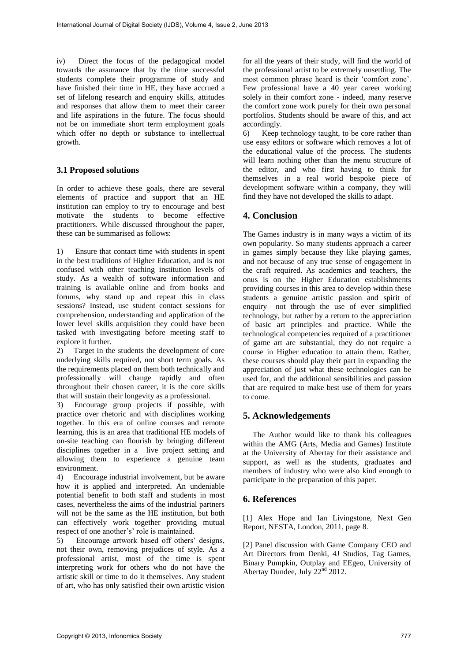iv) Direct the focus of the pedagogical model towards the assurance that by the time successful students complete their programme of study and have finished their time in HE, they have accrued a set of lifelong research and enquiry skills, attitudes and responses that allow them to meet their career and life aspirations in the future. The focus should not be on immediate short term employment goals which offer no depth or substance to intellectual growth.

### **3.1 Proposed solutions**

In order to achieve these goals, there are several elements of practice and support that an HE institution can employ to try to encourage and best motivate the students to become effective practitioners. While discussed throughout the paper, these can be summarised as follows:

1) Ensure that contact time with students in spent in the best traditions of Higher Education, and is not confused with other teaching institution levels of study. As a wealth of software information and training is available online and from books and forums, why stand up and repeat this in class sessions? Instead, use student contact sessions for comprehension, understanding and application of the lower level skills acquisition they could have been tasked with investigating before meeting staff to explore it further.

2) Target in the students the development of core underlying skills required, not short term goals. As the requirements placed on them both technically and professionally will change rapidly and often throughout their chosen career, it is the core skills that will sustain their longevity as a professional.

3) Encourage group projects if possible, with practice over rhetoric and with disciplines working together. In this era of online courses and remote learning, this is an area that traditional HE models of on-site teaching can flourish by bringing different disciplines together in a live project setting and allowing them to experience a genuine team environment.

4) Encourage industrial involvement, but be aware how it is applied and interpreted. An undeniable potential benefit to both staff and students in most cases, nevertheless the aims of the industrial partners will not be the same as the HE institution, but both can effectively work together providing mutual respect of one another's' role is maintained.

5) Encourage artwork based off others' designs, not their own, removing prejudices of style. As a professional artist, most of the time is spent interpreting work for others who do not have the artistic skill or time to do it themselves. Any student of art, who has only satisfied their own artistic vision

for all the years of their study, will find the world of the professional artist to be extremely unsettling. The most common phrase heard is their 'comfort zone'. Few professional have a 40 year career working solely in their comfort zone - indeed, many reserve the comfort zone work purely for their own personal portfolios. Students should be aware of this, and act accordingly.

6) Keep technology taught, to be core rather than use easy editors or software which removes a lot of the educational value of the process. The students will learn nothing other than the menu structure of the editor, and who first having to think for themselves in a real world bespoke piece of development software within a company, they will find they have not developed the skills to adapt.

## **4. Conclusion**

The Games industry is in many ways a victim of its own popularity. So many students approach a career in games simply because they like playing games, and not because of any true sense of engagement in the craft required. As academics and teachers, the onus is on the Higher Education establishments providing courses in this area to develop within these students a genuine artistic passion and spirit of enquiry– not through the use of ever simplified technology, but rather by a return to the appreciation of basic art principles and practice. While the technological competencies required of a practitioner of game art are substantial, they do not require a course in Higher education to attain them. Rather, these courses should play their part in expanding the appreciation of just what these technologies can be used for, and the additional sensibilities and passion that are required to make best use of them for years to come.

### **5. Acknowledgements**

The Author would like to thank his colleagues within the AMG (Arts, Media and Games) Institute at the University of Abertay for their assistance and support, as well as the students, graduates and members of industry who were also kind enough to participate in the preparation of this paper.

### **6. References**

[1] Alex Hope and Ian Livingstone, Next Gen Report, NESTA, London, 2011, page 8.

[2] Panel discussion with Game Company CEO and Art Directors from Denki, 4J Studios, Tag Games, Binary Pumpkin, Outplay and EEgeo, University of Abertay Dundee, July 22<sup>nd</sup> 2012.